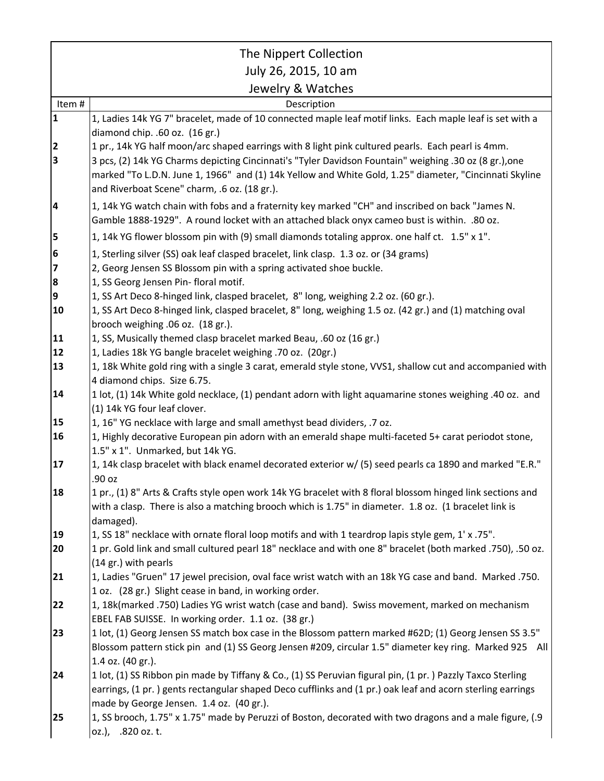|                         | The Nippert Collection                                                                                                                               |
|-------------------------|------------------------------------------------------------------------------------------------------------------------------------------------------|
|                         | July 26, 2015, 10 am                                                                                                                                 |
|                         | Jewelry & Watches                                                                                                                                    |
| Item#                   | Description                                                                                                                                          |
| $\mathbf{1}$            | 1, Ladies 14k YG 7" bracelet, made of 10 connected maple leaf motif links. Each maple leaf is set with a                                             |
|                         | diamond chip. .60 oz. (16 gr.)                                                                                                                       |
| $\overline{\mathbf{2}}$ | 1 pr., 14k YG half moon/arc shaped earrings with 8 light pink cultured pearls. Each pearl is 4mm.                                                    |
| $\overline{\mathbf{3}}$ | 3 pcs, (2) 14k YG Charms depicting Cincinnati's "Tyler Davidson Fountain" weighing .30 oz (8 gr.), one                                               |
|                         | marked "To L.D.N. June 1, 1966" and (1) 14k Yellow and White Gold, 1.25" diameter, "Cincinnati Skyline                                               |
|                         | and Riverboat Scene" charm, .6 oz. (18 gr.).                                                                                                         |
| 4                       | 1, 14k YG watch chain with fobs and a fraternity key marked "CH" and inscribed on back "James N.                                                     |
|                         | Gamble 1888-1929". A round locket with an attached black onyx cameo bust is within. .80 oz.                                                          |
| 5                       | 1, 14k YG flower blossom pin with (9) small diamonds totaling approx. one half ct. 1.5" x 1".                                                        |
| 6                       | 1, Sterling silver (SS) oak leaf clasped bracelet, link clasp. 1.3 oz. or (34 grams)                                                                 |
| 7                       | 2, Georg Jensen SS Blossom pin with a spring activated shoe buckle.                                                                                  |
| 8                       | 1, SS Georg Jensen Pin- floral motif.                                                                                                                |
| 9                       | 1, SS Art Deco 8-hinged link, clasped bracelet, 8" long, weighing 2.2 oz. (60 gr.).                                                                  |
| 10                      | 1, SS Art Deco 8-hinged link, clasped bracelet, 8" long, weighing 1.5 oz. (42 gr.) and (1) matching oval                                             |
| 11                      | brooch weighing .06 oz. (18 gr.).<br>1, SS, Musically themed clasp bracelet marked Beau, .60 oz (16 gr.)                                             |
| 12                      | 1, Ladies 18k YG bangle bracelet weighing .70 oz. (20gr.)                                                                                            |
| 13                      | 1, 18k White gold ring with a single 3 carat, emerald style stone, VVS1, shallow cut and accompanied with                                            |
|                         | 4 diamond chips. Size 6.75.                                                                                                                          |
| 14                      | 1 lot, (1) 14k White gold necklace, (1) pendant adorn with light aquamarine stones weighing .40 oz. and                                              |
|                         | (1) 14k YG four leaf clover.                                                                                                                         |
| 15                      | 1, 16" YG necklace with large and small amethyst bead dividers, .7 oz.                                                                               |
| 16                      | 1, Highly decorative European pin adorn with an emerald shape multi-faceted 5+ carat periodot stone,                                                 |
|                         | 1.5" x 1". Unmarked, but 14k YG.                                                                                                                     |
| <b>17</b>               | 1, 14k clasp bracelet with black enamel decorated exterior w/ (5) seed pearls ca 1890 and marked "E.R."                                              |
|                         | .90 oz                                                                                                                                               |
| 18                      | 1 pr., (1) 8" Arts & Crafts style open work 14k YG bracelet with 8 floral blossom hinged link sections and                                           |
|                         | with a clasp. There is also a matching brooch which is 1.75" in diameter. 1.8 oz. (1 bracelet link is                                                |
| 19                      | damaged).<br>1, SS 18" necklace with ornate floral loop motifs and with 1 teardrop lapis style gem, 1' x .75".                                       |
| 20                      | 1 pr. Gold link and small cultured pearl 18" necklace and with one 8" bracelet (both marked .750), .50 oz.                                           |
|                         | (14 gr.) with pearls                                                                                                                                 |
| 21                      | 1, Ladies "Gruen" 17 jewel precision, oval face wrist watch with an 18k YG case and band. Marked .750.                                               |
|                         | 1 oz. (28 gr.) Slight cease in band, in working order.                                                                                               |
| 22                      | 1, 18k(marked .750) Ladies YG wrist watch (case and band). Swiss movement, marked on mechanism                                                       |
|                         | EBEL FAB SUISSE. In working order. 1.1 oz. (38 gr.)                                                                                                  |
| 23                      | 1 lot, (1) Georg Jensen SS match box case in the Blossom pattern marked #62D; (1) Georg Jensen SS 3.5"                                               |
|                         | Blossom pattern stick pin and (1) SS Georg Jensen #209, circular 1.5" diameter key ring. Marked 925 All                                              |
|                         | 1.4 oz. (40 gr.).                                                                                                                                    |
| 24                      | 1 lot, (1) SS Ribbon pin made by Tiffany & Co., (1) SS Peruvian figural pin, (1 pr.) Pazzly Taxco Sterling                                           |
|                         | earrings, (1 pr.) gents rectangular shaped Deco cufflinks and (1 pr.) oak leaf and acorn sterling earrings                                           |
| 25                      | made by George Jensen. 1.4 oz. (40 gr.).<br>1, SS brooch, 1.75" x 1.75" made by Peruzzi of Boston, decorated with two dragons and a male figure, (.9 |
|                         | oz.), .820 oz. t.                                                                                                                                    |
|                         |                                                                                                                                                      |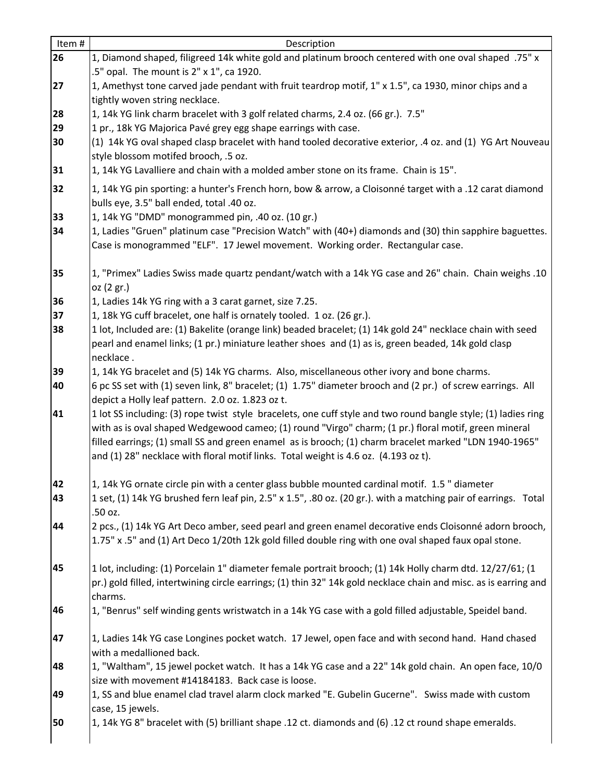| Item#    | Description                                                                                                                                                                                                      |
|----------|------------------------------------------------------------------------------------------------------------------------------------------------------------------------------------------------------------------|
| 26       | 1, Diamond shaped, filigreed 14k white gold and platinum brooch centered with one oval shaped .75" x                                                                                                             |
|          | .5" opal. The mount is 2" x 1", ca 1920.                                                                                                                                                                         |
| 27       | 1, Amethyst tone carved jade pendant with fruit teardrop motif, 1" x 1.5", ca 1930, minor chips and a                                                                                                            |
|          | tightly woven string necklace.                                                                                                                                                                                   |
| 28       | 1, 14k YG link charm bracelet with 3 golf related charms, 2.4 oz. (66 gr.). 7.5"                                                                                                                                 |
| 29       | 1 pr., 18k YG Majorica Pavé grey egg shape earrings with case.                                                                                                                                                   |
| 30       | (1) 14k YG oval shaped clasp bracelet with hand tooled decorative exterior, .4 oz. and (1) YG Art Nouveau                                                                                                        |
|          | style blossom motifed brooch, .5 oz.                                                                                                                                                                             |
| 31       | 1, 14k YG Lavalliere and chain with a molded amber stone on its frame. Chain is 15".                                                                                                                             |
| 32       | 1, 14k YG pin sporting: a hunter's French horn, bow & arrow, a Cloisonné target with a .12 carat diamond                                                                                                         |
|          | bulls eye, 3.5" ball ended, total .40 oz.                                                                                                                                                                        |
| 33       | 1, 14k YG "DMD" monogrammed pin, .40 oz. (10 gr.)                                                                                                                                                                |
| 34       | 1, Ladies "Gruen" platinum case "Precision Watch" with (40+) diamonds and (30) thin sapphire baguettes.                                                                                                          |
|          | Case is monogrammed "ELF". 17 Jewel movement. Working order. Rectangular case.                                                                                                                                   |
| 35       | 10. 10. Thrimex" Ladies Swiss made quartz pendant/watch with a 14k YG case and 26" chain. Chain weighs                                                                                                           |
|          | oz (2 gr.)                                                                                                                                                                                                       |
| 36       | 1, Ladies 14k YG ring with a 3 carat garnet, size 7.25.                                                                                                                                                          |
| 37       | 1, 18k YG cuff bracelet, one half is ornately tooled. 1 oz. (26 gr.).                                                                                                                                            |
| 38       | 1 lot, Included are: (1) Bakelite (orange link) beaded bracelet; (1) 14k gold 24" necklace chain with seed                                                                                                       |
|          | pearl and enamel links; (1 pr.) miniature leather shoes and (1) as is, green beaded, 14k gold clasp                                                                                                              |
|          | necklace.                                                                                                                                                                                                        |
| 39       | 1, 14k YG bracelet and (5) 14k YG charms. Also, miscellaneous other ivory and bone charms.                                                                                                                       |
| 40       | 6 pc SS set with (1) seven link, 8" bracelet; (1) 1.75" diameter brooch and (2 pr.) of screw earrings. All                                                                                                       |
|          | depict a Holly leaf pattern. 2.0 oz. 1.823 oz t.                                                                                                                                                                 |
| 41       | 1 lot SS including: (3) rope twist style bracelets, one cuff style and two round bangle style; (1) ladies ring                                                                                                   |
|          | with as is oval shaped Wedgewood cameo; (1) round "Virgo" charm; (1 pr.) floral motif, green mineral                                                                                                             |
|          | filled earrings; (1) small SS and green enamel as is brooch; (1) charm bracelet marked "LDN 1940-1965"                                                                                                           |
|          | and (1) 28" necklace with floral motif links. Total weight is 4.6 oz. (4.193 oz t).                                                                                                                              |
|          |                                                                                                                                                                                                                  |
| 42<br>43 | 1, 14k YG ornate circle pin with a center glass bubble mounted cardinal motif. 1.5 " diameter<br>1 set, (1) 14k YG brushed fern leaf pin, 2.5" x 1.5", .80 oz. (20 gr.). with a matching pair of earrings. Total |
|          | .50 oz.                                                                                                                                                                                                          |
| 44       | 2 pcs., (1) 14k YG Art Deco amber, seed pearl and green enamel decorative ends Cloisonné adorn brooch,                                                                                                           |
|          | 1.75" x .5" and (1) Art Deco 1/20th 12k gold filled double ring with one oval shaped faux opal stone.                                                                                                            |
|          |                                                                                                                                                                                                                  |
| 45       | 1 lot, including: (1) Porcelain 1" diameter female portrait brooch; (1) 14k Holly charm dtd. 12/27/61; (1                                                                                                        |
|          | pr.) gold filled, intertwining circle earrings; (1) thin 32" 14k gold necklace chain and misc. as is earring and                                                                                                 |
|          | charms.                                                                                                                                                                                                          |
| 46       | 1, "Benrus" self winding gents wristwatch in a 14k YG case with a gold filled adjustable, Speidel band.                                                                                                          |
|          |                                                                                                                                                                                                                  |
| 47       | 1, Ladies 14k YG case Longines pocket watch. 17 Jewel, open face and with second hand. Hand chased                                                                                                               |
|          | with a medallioned back.                                                                                                                                                                                         |
| 48       | 1, "Waltham", 15 jewel pocket watch. It has a 14k YG case and a 22" 14k gold chain. An open face, 10/0                                                                                                           |
|          | size with movement #14184183. Back case is loose.                                                                                                                                                                |
| 49       | 1, SS and blue enamel clad travel alarm clock marked "E. Gubelin Gucerne". Swiss made with custom                                                                                                                |
|          | case, 15 jewels.                                                                                                                                                                                                 |
| 50       | 1, 14k YG 8" bracelet with (5) brilliant shape .12 ct. diamonds and (6) .12 ct round shape emeralds.                                                                                                             |
|          |                                                                                                                                                                                                                  |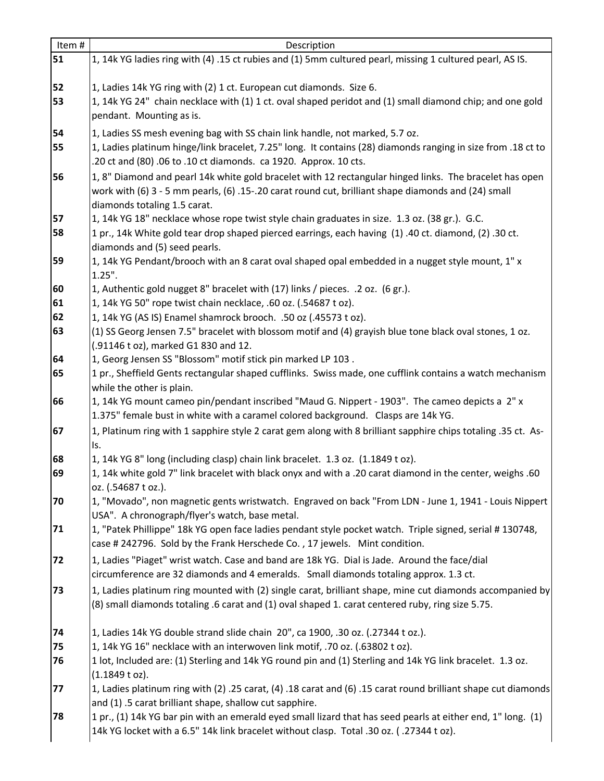| Item# | Description                                                                                                                                                                                                    |
|-------|----------------------------------------------------------------------------------------------------------------------------------------------------------------------------------------------------------------|
| 51    | 1, 14k YG ladies ring with (4) .15 ct rubies and (1) 5mm cultured pearl, missing 1 cultured pearl, AS IS.                                                                                                      |
| 52    | 1, Ladies 14k YG ring with (2) 1 ct. European cut diamonds. Size 6.                                                                                                                                            |
| 53    | 1, 14k YG 24" chain necklace with (1) 1 ct. oval shaped peridot and (1) small diamond chip; and one gold                                                                                                       |
|       | pendant. Mounting as is.                                                                                                                                                                                       |
| 54    | 1, Ladies SS mesh evening bag with SS chain link handle, not marked, 5.7 oz.                                                                                                                                   |
| 55    | 18 ct to 1. Ladies platinum hinge/link bracelet, 7.25" long. It contains (28) diamonds ranging in size from                                                                                                    |
|       | .20 ct and (80) .06 to .10 ct diamonds. ca 1920. Approx. 10 cts.                                                                                                                                               |
| 56    | 1, 8" Diamond and pearl 14k white gold bracelet with 12 rectangular hinged links. The bracelet has open<br>work with (6) 3 - 5 mm pearls, (6) .15-.20 carat round cut, brilliant shape diamonds and (24) small |
|       | diamonds totaling 1.5 carat.                                                                                                                                                                                   |
| 57    | 1, 14k YG 18" necklace whose rope twist style chain graduates in size. 1.3 oz. (38 gr.). G.C.                                                                                                                  |
| 58    | 1 pr., 14k White gold tear drop shaped pierced earrings, each having (1) .40 ct. diamond, (2) .30 ct.                                                                                                          |
|       | diamonds and (5) seed pearls.                                                                                                                                                                                  |
| 59    | 1, 14k YG Pendant/brooch with an 8 carat oval shaped opal embedded in a nugget style mount, 1" x<br>$1.25$ ".                                                                                                  |
| 60    | 1, Authentic gold nugget 8" bracelet with (17) links / pieces. . 2 oz. (6 gr.).                                                                                                                                |
| 61    | 1, 14k YG 50" rope twist chain necklace, .60 oz. (.54687 t oz).                                                                                                                                                |
| 62    | 1, 14k YG (AS IS) Enamel shamrock brooch. .50 oz (.45573 t oz).                                                                                                                                                |
| 63    | (1) SS Georg Jensen 7.5" bracelet with blossom motif and (4) grayish blue tone black oval stones, 1 oz.                                                                                                        |
|       | (.91146 t oz), marked G1 830 and 12.                                                                                                                                                                           |
| 64    | 1, Georg Jensen SS "Blossom" motif stick pin marked LP 103.                                                                                                                                                    |
| 65    | 1 pr., Sheffield Gents rectangular shaped cufflinks. Swiss made, one cufflink contains a watch mechanism                                                                                                       |
|       | while the other is plain.                                                                                                                                                                                      |
| 66    | 1, 14k YG mount cameo pin/pendant inscribed "Maud G. Nippert - 1903". The cameo depicts a 2" x<br>1.375" female bust in white with a caramel colored background. Clasps are 14k YG.                            |
| 67    | 1, Platinum ring with 1 sapphire style 2 carat gem along with 8 brilliant sapphire chips totaling .35 ct. As-                                                                                                  |
|       | Is.                                                                                                                                                                                                            |
| 68    | 1, 14k YG 8" long (including clasp) chain link bracelet. 1.3 oz. (1.1849 t oz).                                                                                                                                |
| 69    | 1, 14k white gold 7" link bracelet with black onyx and with a .20 carat diamond in the center, weighs .60<br>oz. (.54687 t oz.).                                                                               |
| 70    | 1, "Movado", non magnetic gents wristwatch. Engraved on back "From LDN - June 1, 1941 - Louis Nippert<br>USA". A chronograph/flyer's watch, base metal.                                                        |
| 71    | 1, "Patek Phillippe" 18k YG open face ladies pendant style pocket watch. Triple signed, serial # 130748,<br>case # 242796. Sold by the Frank Herschede Co., 17 jewels. Mint condition.                         |
| 72    | 1, Ladies "Piaget" wrist watch. Case and band are 18k YG. Dial is Jade. Around the face/dial<br>circumference are 32 diamonds and 4 emeralds. Small diamonds totaling approx. 1.3 ct.                          |
| 73    | 1, Ladies platinum ring mounted with (2) single carat, brilliant shape, mine cut diamonds accompanied by<br>(8) small diamonds totaling .6 carat and (1) oval shaped 1. carat centered ruby, ring size 5.75.   |
| 74    | 1, Ladies 14k YG double strand slide chain 20", ca 1900, .30 oz. (.27344 t oz.).                                                                                                                               |
| 75    | 1, 14k YG 16" necklace with an interwoven link motif, .70 oz. (.63802 t oz).                                                                                                                                   |
| 76    | 1 lot, Included are: (1) Sterling and 14k YG round pin and (1) Sterling and 14k YG link bracelet. 1.3 oz.                                                                                                      |
|       | (1.1849 t oz).                                                                                                                                                                                                 |
| 77    | 1, Ladies platinum ring with (2) .25 carat, (4) .18 carat and (6) .15 carat round brilliant shape cut diamonds                                                                                                 |
|       | and (1) .5 carat brilliant shape, shallow cut sapphire.                                                                                                                                                        |
| 78    | 1 pr., (1) 14k YG bar pin with an emerald eyed small lizard that has seed pearls at either end, 1" long. (1)                                                                                                   |
|       | 14k YG locket with a 6.5" 14k link bracelet without clasp. Total .30 oz. (.27344 t oz).                                                                                                                        |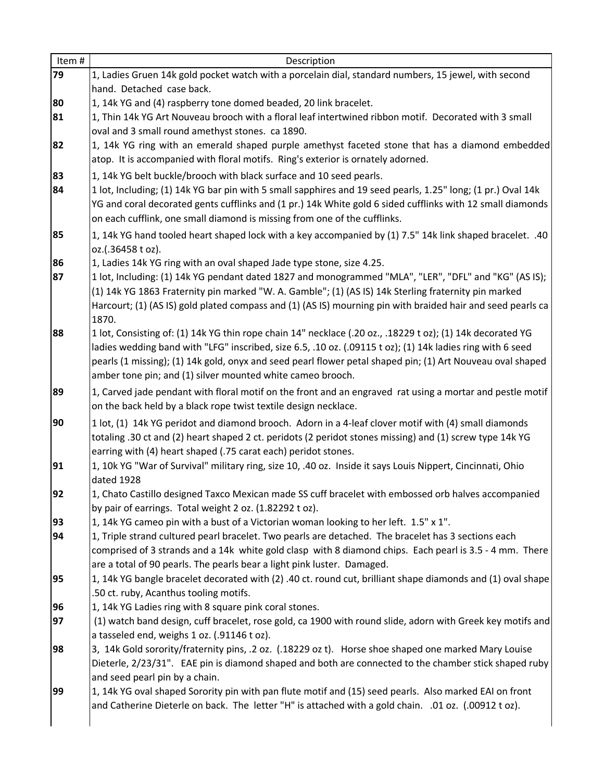| Item# | Description                                                                                                                                                                  |
|-------|------------------------------------------------------------------------------------------------------------------------------------------------------------------------------|
| 79    | 1, Ladies Gruen 14k gold pocket watch with a porcelain dial, standard numbers, 15 jewel, with second                                                                         |
|       | hand. Detached case back.                                                                                                                                                    |
| 80    | 1, 14k YG and (4) raspberry tone domed beaded, 20 link bracelet.                                                                                                             |
| 81    | 1, Thin 14k YG Art Nouveau brooch with a floral leaf intertwined ribbon motif. Decorated with 3 small                                                                        |
|       | oval and 3 small round amethyst stones. ca 1890.                                                                                                                             |
| 82    | 1, 14k YG ring with an emerald shaped purple amethyst faceted stone that has a diamond embedded                                                                              |
|       | atop. It is accompanied with floral motifs. Ring's exterior is ornately adorned.                                                                                             |
| 83    | 1, 14k YG belt buckle/brooch with black surface and 10 seed pearls.                                                                                                          |
| 84    | 1 lot, Including; (1) 14k YG bar pin with 5 small sapphires and 19 seed pearls, 1.25" long; (1 pr.) Oval 14k                                                                 |
|       | YG and coral decorated gents cufflinks and (1 pr.) 14k White gold 6 sided cufflinks with 12 small diamonds                                                                   |
|       | on each cufflink, one small diamond is missing from one of the cufflinks.                                                                                                    |
| 85    | 1, 14k YG hand tooled heart shaped lock with a key accompanied by (1) 7.5" 14k link shaped bracelet. .40                                                                     |
|       | oz.(.36458 t oz).                                                                                                                                                            |
| 86    | 1, Ladies 14k YG ring with an oval shaped Jade type stone, size 4.25.                                                                                                        |
| 87    | 1 lot, Including: (1) 14k YG pendant dated 1827 and monogrammed "MLA", "LER", "DFL" and "KG" (AS IS);                                                                        |
|       | (1) 14k YG 1863 Fraternity pin marked "W. A. Gamble"; (1) (AS IS) 14k Sterling fraternity pin marked                                                                         |
|       | Harcourt; (1) (AS IS) gold plated compass and (1) (AS IS) mourning pin with braided hair and seed pearls ca                                                                  |
|       | 1870.                                                                                                                                                                        |
| 88    | 1 lot, Consisting of: (1) 14k YG thin rope chain 14" necklace (.20 oz., .18229 t oz); (1) 14k decorated YG                                                                   |
|       | ladies wedding band with "LFG" inscribed, size 6.5, .10 oz. (.09115 t oz); (1) 14k ladies ring with 6 seed                                                                   |
|       | pearls (1 missing); (1) 14k gold, onyx and seed pearl flower petal shaped pin; (1) Art Nouveau oval shaped<br>amber tone pin; and (1) silver mounted white cameo brooch.     |
|       |                                                                                                                                                                              |
| 89    | 1, Carved jade pendant with floral motif on the front and an engraved rat using a mortar and pestle motif<br>on the back held by a black rope twist textile design necklace. |
|       |                                                                                                                                                                              |
| 90    | 1 lot, (1) 14k YG peridot and diamond brooch. Adorn in a 4-leaf clover motif with (4) small diamonds                                                                         |
|       | totaling .30 ct and (2) heart shaped 2 ct. peridots (2 peridot stones missing) and (1) screw type 14k YG<br>earring with (4) heart shaped (.75 carat each) peridot stones.   |
| 91    | 1, 10k YG "War of Survival" military ring, size 10, .40 oz. Inside it says Louis Nippert, Cincinnati, Ohio                                                                   |
|       | dated 1928                                                                                                                                                                   |
| 92    | 1, Chato Castillo designed Taxco Mexican made SS cuff bracelet with embossed orb halves accompanied                                                                          |
|       | by pair of earrings. Total weight 2 oz. (1.82292 t oz).                                                                                                                      |
| 93    | 1, 14k YG cameo pin with a bust of a Victorian woman looking to her left. 1.5" x 1".                                                                                         |
| 94    | 1, Triple strand cultured pearl bracelet. Two pearls are detached. The bracelet has 3 sections each                                                                          |
|       | comprised of 3 strands and a 14k white gold clasp with 8 diamond chips. Each pearl is 3.5 - 4 mm. There                                                                      |
|       | are a total of 90 pearls. The pearls bear a light pink luster. Damaged.                                                                                                      |
| 95    | 1, 14k YG bangle bracelet decorated with (2) .40 ct. round cut, brilliant shape diamonds and (1) oval shape                                                                  |
|       | .50 ct. ruby, Acanthus tooling motifs.                                                                                                                                       |
| 96    | 1, 14k YG Ladies ring with 8 square pink coral stones.                                                                                                                       |
| 97    | (1) watch band design, cuff bracelet, rose gold, ca 1900 with round slide, adorn with Greek key motifs and                                                                   |
|       | a tasseled end, weighs 1 oz. (.91146 t oz).                                                                                                                                  |
| 98    | 3, 14k Gold sorority/fraternity pins, .2 oz. (.18229 oz t). Horse shoe shaped one marked Mary Louise                                                                         |
|       | Dieterle, 2/23/31". EAE pin is diamond shaped and both are connected to the chamber stick shaped ruby<br>and seed pearl pin by a chain.                                      |
| 99    | 1, 14k YG oval shaped Sorority pin with pan flute motif and (15) seed pearls. Also marked EAI on front                                                                       |
|       | and Catherine Dieterle on back. The letter "H" is attached with a gold chain. .01 oz. (.00912 t oz).                                                                         |
|       |                                                                                                                                                                              |
|       |                                                                                                                                                                              |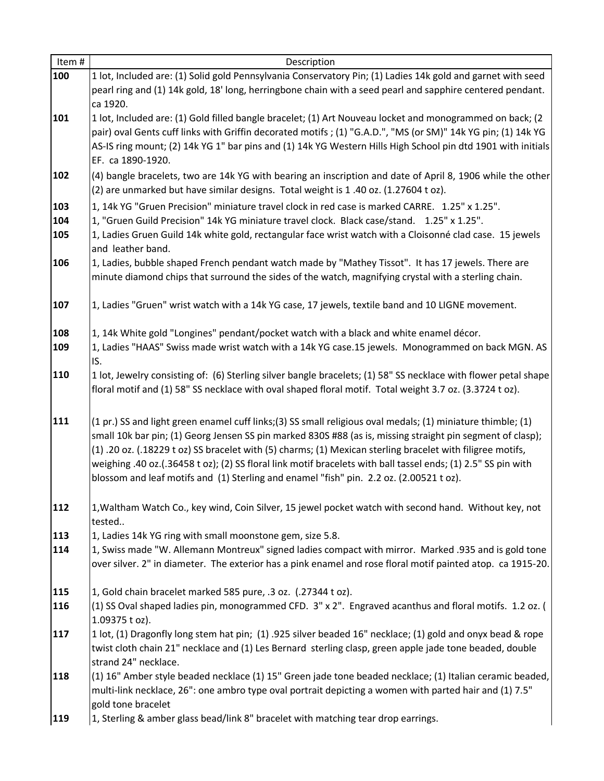| Item#                                         | Description                                                                                                                                                                                                                                                                                                                                                                                                                                                                                                                                                                                                                                                                                                                                                                                                                                                                                                                                                                                                  |
|-----------------------------------------------|--------------------------------------------------------------------------------------------------------------------------------------------------------------------------------------------------------------------------------------------------------------------------------------------------------------------------------------------------------------------------------------------------------------------------------------------------------------------------------------------------------------------------------------------------------------------------------------------------------------------------------------------------------------------------------------------------------------------------------------------------------------------------------------------------------------------------------------------------------------------------------------------------------------------------------------------------------------------------------------------------------------|
| 100                                           | 1 lot, Included are: (1) Solid gold Pennsylvania Conservatory Pin; (1) Ladies 14k gold and garnet with seed                                                                                                                                                                                                                                                                                                                                                                                                                                                                                                                                                                                                                                                                                                                                                                                                                                                                                                  |
|                                               | pearl ring and (1) 14k gold, 18' long, herringbone chain with a seed pearl and sapphire centered pendant.                                                                                                                                                                                                                                                                                                                                                                                                                                                                                                                                                                                                                                                                                                                                                                                                                                                                                                    |
|                                               | ca 1920.                                                                                                                                                                                                                                                                                                                                                                                                                                                                                                                                                                                                                                                                                                                                                                                                                                                                                                                                                                                                     |
| 101                                           | 1 lot, Included are: (1) Gold filled bangle bracelet; (1) Art Nouveau locket and monogrammed on back; (2                                                                                                                                                                                                                                                                                                                                                                                                                                                                                                                                                                                                                                                                                                                                                                                                                                                                                                     |
|                                               | pair) oval Gents cuff links with Griffin decorated motifs; (1) "G.A.D.", "MS (or SM)" 14k YG pin; (1) 14k YG                                                                                                                                                                                                                                                                                                                                                                                                                                                                                                                                                                                                                                                                                                                                                                                                                                                                                                 |
|                                               | AS-IS ring mount; (2) 14k YG 1" bar pins and (1) 14k YG Western Hills High School pin dtd 1901 with initials                                                                                                                                                                                                                                                                                                                                                                                                                                                                                                                                                                                                                                                                                                                                                                                                                                                                                                 |
|                                               | EF. ca 1890-1920.                                                                                                                                                                                                                                                                                                                                                                                                                                                                                                                                                                                                                                                                                                                                                                                                                                                                                                                                                                                            |
| 102                                           | (4) bangle bracelets, two are 14k YG with bearing an inscription and date of April 8, 1906 while the other                                                                                                                                                                                                                                                                                                                                                                                                                                                                                                                                                                                                                                                                                                                                                                                                                                                                                                   |
|                                               | (2) are unmarked but have similar designs. Total weight is 1.40 oz. (1.27604 t oz).                                                                                                                                                                                                                                                                                                                                                                                                                                                                                                                                                                                                                                                                                                                                                                                                                                                                                                                          |
| 103                                           | 1, 14k YG "Gruen Precision" miniature travel clock in red case is marked CARRE. 1.25" x 1.25".                                                                                                                                                                                                                                                                                                                                                                                                                                                                                                                                                                                                                                                                                                                                                                                                                                                                                                               |
| 104                                           | 1, "Gruen Guild Precision" 14k YG miniature travel clock. Black case/stand. 1.25" x 1.25".                                                                                                                                                                                                                                                                                                                                                                                                                                                                                                                                                                                                                                                                                                                                                                                                                                                                                                                   |
| 105                                           | 1, Ladies Gruen Guild 14k white gold, rectangular face wrist watch with a Cloisonné clad case. 15 jewels                                                                                                                                                                                                                                                                                                                                                                                                                                                                                                                                                                                                                                                                                                                                                                                                                                                                                                     |
|                                               | and leather band.                                                                                                                                                                                                                                                                                                                                                                                                                                                                                                                                                                                                                                                                                                                                                                                                                                                                                                                                                                                            |
| 106                                           | 1, Ladies, bubble shaped French pendant watch made by "Mathey Tissot". It has 17 jewels. There are                                                                                                                                                                                                                                                                                                                                                                                                                                                                                                                                                                                                                                                                                                                                                                                                                                                                                                           |
|                                               | minute diamond chips that surround the sides of the watch, magnifying crystal with a sterling chain.                                                                                                                                                                                                                                                                                                                                                                                                                                                                                                                                                                                                                                                                                                                                                                                                                                                                                                         |
|                                               |                                                                                                                                                                                                                                                                                                                                                                                                                                                                                                                                                                                                                                                                                                                                                                                                                                                                                                                                                                                                              |
| 107                                           | 1, Ladies "Gruen" wrist watch with a 14k YG case, 17 jewels, textile band and 10 LIGNE movement.                                                                                                                                                                                                                                                                                                                                                                                                                                                                                                                                                                                                                                                                                                                                                                                                                                                                                                             |
| 108                                           | 1, 14k White gold "Longines" pendant/pocket watch with a black and white enamel décor.                                                                                                                                                                                                                                                                                                                                                                                                                                                                                                                                                                                                                                                                                                                                                                                                                                                                                                                       |
| 109                                           | 1, Ladies "HAAS" Swiss made wrist watch with a 14k YG case.15 jewels. Monogrammed on back MGN. AS                                                                                                                                                                                                                                                                                                                                                                                                                                                                                                                                                                                                                                                                                                                                                                                                                                                                                                            |
|                                               | IS.                                                                                                                                                                                                                                                                                                                                                                                                                                                                                                                                                                                                                                                                                                                                                                                                                                                                                                                                                                                                          |
| 110                                           | 1 lot, Jewelry consisting of: (6) Sterling silver bangle bracelets; (1) 58" SS necklace with flower petal shape                                                                                                                                                                                                                                                                                                                                                                                                                                                                                                                                                                                                                                                                                                                                                                                                                                                                                              |
|                                               | floral motif and (1) 58" SS necklace with oval shaped floral motif. Total weight 3.7 oz. (3.3724 t oz).                                                                                                                                                                                                                                                                                                                                                                                                                                                                                                                                                                                                                                                                                                                                                                                                                                                                                                      |
|                                               |                                                                                                                                                                                                                                                                                                                                                                                                                                                                                                                                                                                                                                                                                                                                                                                                                                                                                                                                                                                                              |
| 111                                           | (1 pr.) SS and light green enamel cuff links; (3) SS small religious oval medals; (1) miniature thimble; (1)                                                                                                                                                                                                                                                                                                                                                                                                                                                                                                                                                                                                                                                                                                                                                                                                                                                                                                 |
|                                               | small 10k bar pin; (1) Georg Jensen SS pin marked 830S #88 (as is, missing straight pin segment of clasp);                                                                                                                                                                                                                                                                                                                                                                                                                                                                                                                                                                                                                                                                                                                                                                                                                                                                                                   |
|                                               | (1) .20 oz. (.18229 t oz) SS bracelet with (5) charms; (1) Mexican sterling bracelet with filigree motifs,                                                                                                                                                                                                                                                                                                                                                                                                                                                                                                                                                                                                                                                                                                                                                                                                                                                                                                   |
|                                               |                                                                                                                                                                                                                                                                                                                                                                                                                                                                                                                                                                                                                                                                                                                                                                                                                                                                                                                                                                                                              |
|                                               | blossom and leaf motifs and (1) Sterling and enamel "fish" pin. 2.2 oz. (2.00521 t oz).                                                                                                                                                                                                                                                                                                                                                                                                                                                                                                                                                                                                                                                                                                                                                                                                                                                                                                                      |
|                                               |                                                                                                                                                                                                                                                                                                                                                                                                                                                                                                                                                                                                                                                                                                                                                                                                                                                                                                                                                                                                              |
|                                               | 1, Waltham Watch Co., key wind, Coin Silver, 15 jewel pocket watch with second hand. Without key, not                                                                                                                                                                                                                                                                                                                                                                                                                                                                                                                                                                                                                                                                                                                                                                                                                                                                                                        |
|                                               | tested                                                                                                                                                                                                                                                                                                                                                                                                                                                                                                                                                                                                                                                                                                                                                                                                                                                                                                                                                                                                       |
| 113                                           | 1, Ladies 14k YG ring with small moonstone gem, size 5.8.                                                                                                                                                                                                                                                                                                                                                                                                                                                                                                                                                                                                                                                                                                                                                                                                                                                                                                                                                    |
|                                               | 1, Swiss made "W. Allemann Montreux" signed ladies compact with mirror. Marked .935 and is gold tone                                                                                                                                                                                                                                                                                                                                                                                                                                                                                                                                                                                                                                                                                                                                                                                                                                                                                                         |
|                                               |                                                                                                                                                                                                                                                                                                                                                                                                                                                                                                                                                                                                                                                                                                                                                                                                                                                                                                                                                                                                              |
|                                               |                                                                                                                                                                                                                                                                                                                                                                                                                                                                                                                                                                                                                                                                                                                                                                                                                                                                                                                                                                                                              |
|                                               |                                                                                                                                                                                                                                                                                                                                                                                                                                                                                                                                                                                                                                                                                                                                                                                                                                                                                                                                                                                                              |
|                                               |                                                                                                                                                                                                                                                                                                                                                                                                                                                                                                                                                                                                                                                                                                                                                                                                                                                                                                                                                                                                              |
|                                               |                                                                                                                                                                                                                                                                                                                                                                                                                                                                                                                                                                                                                                                                                                                                                                                                                                                                                                                                                                                                              |
|                                               |                                                                                                                                                                                                                                                                                                                                                                                                                                                                                                                                                                                                                                                                                                                                                                                                                                                                                                                                                                                                              |
|                                               |                                                                                                                                                                                                                                                                                                                                                                                                                                                                                                                                                                                                                                                                                                                                                                                                                                                                                                                                                                                                              |
|                                               |                                                                                                                                                                                                                                                                                                                                                                                                                                                                                                                                                                                                                                                                                                                                                                                                                                                                                                                                                                                                              |
|                                               |                                                                                                                                                                                                                                                                                                                                                                                                                                                                                                                                                                                                                                                                                                                                                                                                                                                                                                                                                                                                              |
|                                               |                                                                                                                                                                                                                                                                                                                                                                                                                                                                                                                                                                                                                                                                                                                                                                                                                                                                                                                                                                                                              |
|                                               |                                                                                                                                                                                                                                                                                                                                                                                                                                                                                                                                                                                                                                                                                                                                                                                                                                                                                                                                                                                                              |
| 112<br>114<br>115<br>116<br>117<br>118<br>119 | weighing .40 oz.(.36458 t oz); (2) SS floral link motif bracelets with ball tassel ends; (1) 2.5" SS pin with<br>over silver. 2" in diameter. The exterior has a pink enamel and rose floral motif painted atop. ca 1915-20.<br>1, Gold chain bracelet marked 585 pure, .3 oz. (.27344 t oz).<br>(1) SS Oval shaped ladies pin, monogrammed CFD. 3" x 2". Engraved acanthus and floral motifs. 1.2 oz. (<br>1.09375 t oz).<br>1 lot, (1) Dragonfly long stem hat pin; (1) .925 silver beaded 16" necklace; (1) gold and onyx bead & rope<br>twist cloth chain 21" necklace and (1) Les Bernard sterling clasp, green apple jade tone beaded, double<br>strand 24" necklace.<br>(1) 16" Amber style beaded necklace (1) 15" Green jade tone beaded necklace; (1) Italian ceramic beaded,<br>multi-link necklace, 26": one ambro type oval portrait depicting a women with parted hair and (1) 7.5"<br>gold tone bracelet<br>1, Sterling & amber glass bead/link 8" bracelet with matching tear drop earrings. |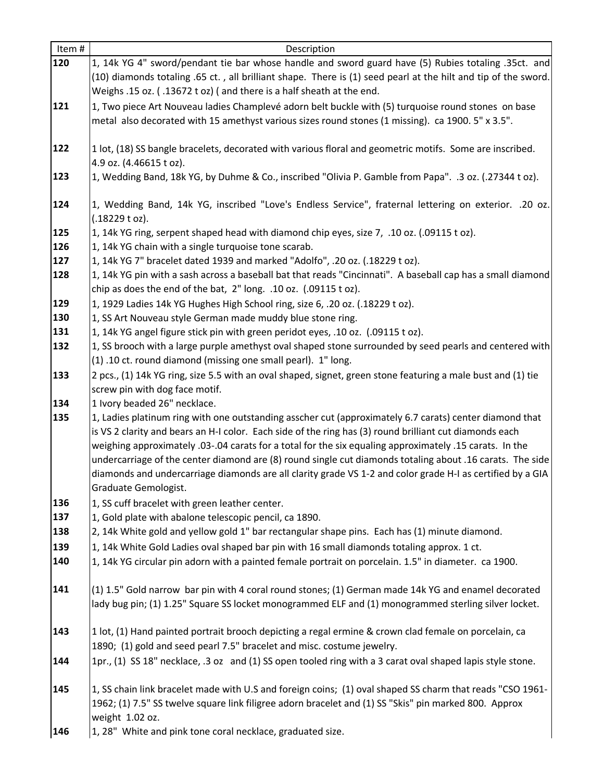| Item# | Description                                                                                                                             |
|-------|-----------------------------------------------------------------------------------------------------------------------------------------|
| 120   | 1, 14k YG 4" sword/pendant tie bar whose handle and sword guard have (5) Rubies totaling .35ct. and                                     |
|       | (10) diamonds totaling .65 ct., all brilliant shape. There is (1) seed pearl at the hilt and tip of the sword.                          |
|       | Weighs .15 oz. (.13672 t oz) (and there is a half sheath at the end.                                                                    |
| 121   | 1, Two piece Art Nouveau ladies Champlevé adorn belt buckle with (5) turquoise round stones on base                                     |
|       | metal also decorated with 15 amethyst various sizes round stones (1 missing). ca 1900. 5" x 3.5".                                       |
|       |                                                                                                                                         |
| 122   | 1 lot, (18) SS bangle bracelets, decorated with various floral and geometric motifs. Some are inscribed.                                |
|       | 4.9 oz. (4.46615 t oz).                                                                                                                 |
| 123   | 1, Wedding Band, 18k YG, by Duhme & Co., inscribed "Olivia P. Gamble from Papa". .3 oz. (.27344 t oz).                                  |
| 124   | 1, Wedding Band, 14k YG, inscribed "Love's Endless Service", fraternal lettering on exterior. .20 oz.                                   |
|       | $(.18229$ t oz).                                                                                                                        |
| 125   | 1, 14k YG ring, serpent shaped head with diamond chip eyes, size 7, .10 oz. (.09115 t oz).                                              |
| 126   | 1, 14k YG chain with a single turquoise tone scarab.                                                                                    |
| 127   | 1, 14k YG 7" bracelet dated 1939 and marked "Adolfo", .20 oz. (.18229 t oz).                                                            |
| 128   | 1, 14k YG pin with a sash across a baseball bat that reads "Cincinnati". A baseball cap has a small diamond                             |
|       | chip as does the end of the bat, 2" long. .10 oz. (.09115 t oz).                                                                        |
| 129   | 1, 1929 Ladies 14k YG Hughes High School ring, size 6, .20 oz. (.18229 t oz).                                                           |
| 130   | 1, SS Art Nouveau style German made muddy blue stone ring.                                                                              |
| 131   | 1, 14k YG angel figure stick pin with green peridot eyes, .10 oz. (.09115 t oz).                                                        |
| 132   | 1, SS brooch with a large purple amethyst oval shaped stone surrounded by seed pearls and centered with                                 |
|       | (1) .10 ct. round diamond (missing one small pearl). 1" long.                                                                           |
| 133   | 2 pcs., (1) 14k YG ring, size 5.5 with an oval shaped, signet, green stone featuring a male bust and (1) tie                            |
| 134   | screw pin with dog face motif.                                                                                                          |
| 135   | 1 Ivory beaded 26" necklace.<br>1, Ladies platinum ring with one outstanding asscher cut (approximately 6.7 carats) center diamond that |
|       | is VS 2 clarity and bears an H-I color. Each side of the ring has (3) round brilliant cut diamonds each                                 |
|       | weighing approximately .03-.04 carats for a total for the six equaling approximately .15 carats. In the                                 |
|       | undercarriage of the center diamond are (8) round single cut diamonds totaling about .16 carats. The side                               |
|       | diamonds and undercarriage diamonds are all clarity grade VS 1-2 and color grade H-I as certified by a GIA                              |
|       | Graduate Gemologist.                                                                                                                    |
| 136   | 1, SS cuff bracelet with green leather center.                                                                                          |
| 137   | 1, Gold plate with abalone telescopic pencil, ca 1890.                                                                                  |
| 138   | 2, 14k White gold and yellow gold 1" bar rectangular shape pins. Each has (1) minute diamond.                                           |
| 139   | 1, 14k White Gold Ladies oval shaped bar pin with 16 small diamonds totaling approx. 1 ct.                                              |
| 140   | 1, 14k YG circular pin adorn with a painted female portrait on porcelain. 1.5" in diameter. ca 1900.                                    |
| 141   | (1) 1.5" Gold narrow bar pin with 4 coral round stones; (1) German made 14k YG and enamel decorated                                     |
|       | lady bug pin; (1) 1.25" Square SS locket monogrammed ELF and (1) monogrammed sterling silver locket.                                    |
|       |                                                                                                                                         |
| 143   | 1 lot, (1) Hand painted portrait brooch depicting a regal ermine & crown clad female on porcelain, ca                                   |
|       | 1890; (1) gold and seed pearl 7.5" bracelet and misc. costume jewelry.                                                                  |
| 144   | 1pr., (1) SS 18" necklace, .3 oz and (1) SS open tooled ring with a 3 carat oval shaped lapis style stone.                              |
|       |                                                                                                                                         |
| 145   | 1, SS chain link bracelet made with U.S and foreign coins; (1) oval shaped SS charm that reads "CSO 1961-                               |
|       | 1962; (1) 7.5" SS twelve square link filigree adorn bracelet and (1) SS "Skis" pin marked 800. Approx                                   |
|       | weight 1.02 oz.                                                                                                                         |
| 146   | 1, 28" White and pink tone coral necklace, graduated size.                                                                              |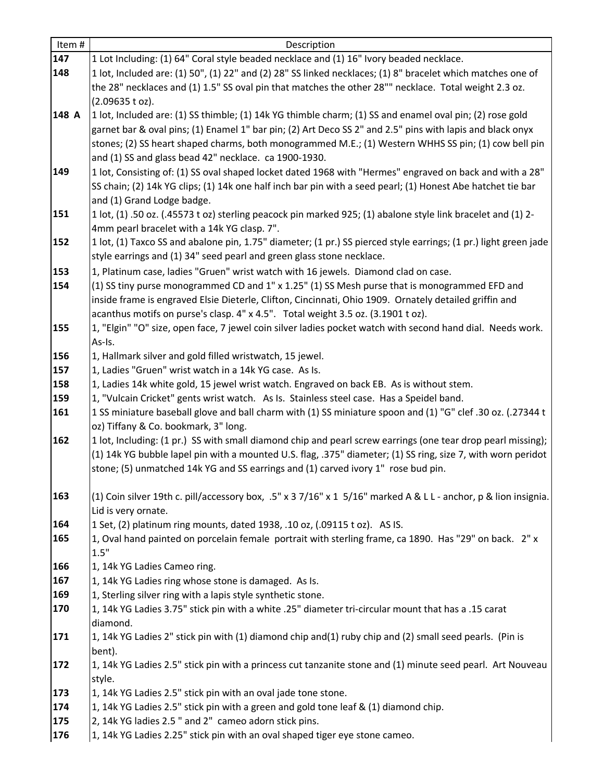| Item# | Description                                                                                                                                         |
|-------|-----------------------------------------------------------------------------------------------------------------------------------------------------|
| 147   | 1 Lot Including: (1) 64" Coral style beaded necklace and (1) 16" Ivory beaded necklace.                                                             |
| 148   | 1 lot, Included are: (1) 50", (1) 22" and (2) 28" SS linked necklaces; (1) 8" bracelet which matches one of                                         |
|       | the 28" necklaces and (1) 1.5" SS oval pin that matches the other 28"" necklace. Total weight 2.3 oz.                                               |
|       | (2.09635 t oz).                                                                                                                                     |
| 148 A | 1 lot, Included are: (1) SS thimble; (1) 14k YG thimble charm; (1) SS and enamel oval pin; (2) rose gold                                            |
|       | garnet bar & oval pins; (1) Enamel 1" bar pin; (2) Art Deco SS 2" and 2.5" pins with lapis and black onyx                                           |
|       | stones; (2) SS heart shaped charms, both monogrammed M.E.; (1) Western WHHS SS pin; (1) cow bell pin                                                |
|       | and (1) SS and glass bead 42" necklace. ca 1900-1930.                                                                                               |
| 149   | 1 lot, Consisting of: (1) SS oval shaped locket dated 1968 with "Hermes" engraved on back and with a 28"                                            |
|       | SS chain; (2) 14k YG clips; (1) 14k one half inch bar pin with a seed pearl; (1) Honest Abe hatchet tie bar                                         |
|       | and (1) Grand Lodge badge.                                                                                                                          |
| 151   | 1 lot, (1) .50 oz. (.45573 t oz) sterling peacock pin marked 925; (1) abalone style link bracelet and (1) 2-                                        |
|       | 4mm pearl bracelet with a 14k YG clasp. 7".                                                                                                         |
| 152   | 1 lot, (1) Taxco SS and abalone pin, 1.75" diameter; (1 pr.) SS pierced style earrings; (1 pr.) light green jade                                    |
|       | style earrings and (1) 34" seed pearl and green glass stone necklace.                                                                               |
| 153   | 1, Platinum case, ladies "Gruen" wrist watch with 16 jewels. Diamond clad on case.                                                                  |
| 154   | (1) SS tiny purse monogrammed CD and 1" x 1.25" (1) SS Mesh purse that is monogrammed EFD and                                                       |
|       | inside frame is engraved Elsie Dieterle, Clifton, Cincinnati, Ohio 1909. Ornately detailed griffin and                                              |
|       | acanthus motifs on purse's clasp. 4" x 4.5". Total weight 3.5 oz. (3.1901 t oz).                                                                    |
| 155   | 1, "Elgin" "O" size, open face, 7 jewel coin silver ladies pocket watch with second hand dial. Needs work.                                          |
|       | As-Is.                                                                                                                                              |
| 156   | 1, Hallmark silver and gold filled wristwatch, 15 jewel.                                                                                            |
| 157   | 1, Ladies "Gruen" wrist watch in a 14k YG case. As Is.                                                                                              |
| 158   | 1, Ladies 14k white gold, 15 jewel wrist watch. Engraved on back EB. As is without stem.                                                            |
| 159   | 1, "Vulcain Cricket" gents wrist watch. As Is. Stainless steel case. Has a Speidel band.                                                            |
| 161   | 1 SS miniature baseball glove and ball charm with (1) SS miniature spoon and (1) "G" clef .30 oz. (.27344 t<br>oz) Tiffany & Co. bookmark, 3" long. |
| 162   | 1 lot, Including: (1 pr.) SS with small diamond chip and pearl screw earrings (one tear drop pearl missing);                                        |
|       | (1) 14k YG bubble lapel pin with a mounted U.S. flag, .375" diameter; (1) SS ring, size 7, with worn peridot                                        |
|       | stone; (5) unmatched 14k YG and SS earrings and (1) carved ivory 1" rose bud pin.                                                                   |
|       |                                                                                                                                                     |
| 163   | (1) Coin silver 19th c. pill/accessory box, .5" x 3 7/16" x 1 5/16" marked A & L L - anchor, p & lion insignia.                                     |
|       | Lid is very ornate.                                                                                                                                 |
| 164   | 1 Set, (2) platinum ring mounts, dated 1938, .10 oz, (.09115 t oz). AS IS.                                                                          |
| 165   | 1, Oval hand painted on porcelain female portrait with sterling frame, ca 1890. Has "29" on back. 2" x                                              |
|       | 1.5"                                                                                                                                                |
| 166   | 1, 14k YG Ladies Cameo ring.                                                                                                                        |
| 167   | 1, 14k YG Ladies ring whose stone is damaged. As Is.                                                                                                |
| 169   | 1, Sterling silver ring with a lapis style synthetic stone.                                                                                         |
| 170   | 15 carat 1, 14k YG Ladies 3.75" stick pin with a white .25" diameter tri-circular mount that has a .15 carat                                        |
|       | diamond.                                                                                                                                            |
| 171   | 1, 14k YG Ladies 2" stick pin with (1) diamond chip and(1) ruby chip and (2) small seed pearls. (Pin is                                             |
|       | bent).                                                                                                                                              |
| 172   | 1, 14k YG Ladies 2.5" stick pin with a princess cut tanzanite stone and (1) minute seed pearl. Art Nouveau                                          |
|       | style.                                                                                                                                              |
| 173   | 1, 14k YG Ladies 2.5" stick pin with an oval jade tone stone.                                                                                       |
| 174   | 1, 14k YG Ladies 2.5" stick pin with a green and gold tone leaf & (1) diamond chip.                                                                 |
| 175   | 2, 14k YG ladies 2.5 " and 2" cameo adorn stick pins.                                                                                               |
| 176   | 1, 14k YG Ladies 2.25" stick pin with an oval shaped tiger eye stone cameo.                                                                         |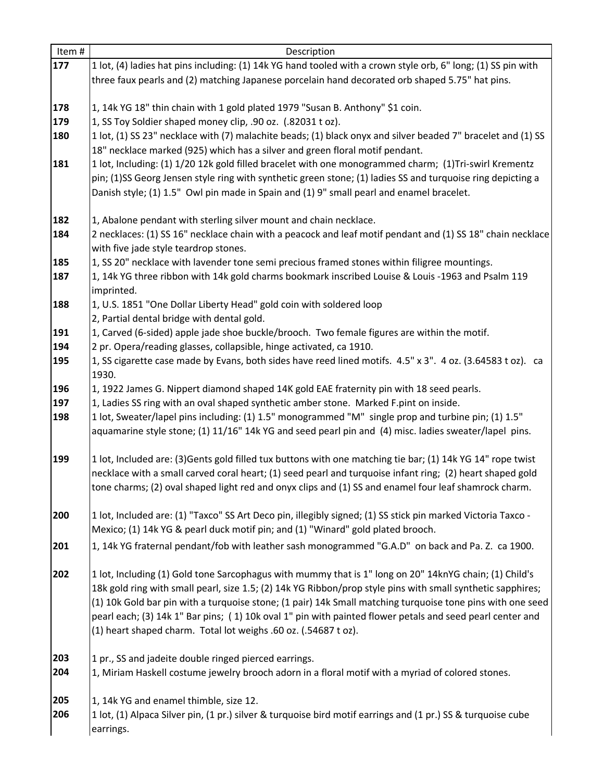| Item# | Description                                                                                                                                                                                                        |
|-------|--------------------------------------------------------------------------------------------------------------------------------------------------------------------------------------------------------------------|
| 177   | 1 lot, (4) ladies hat pins including: (1) 14k YG hand tooled with a crown style orb, 6" long; (1) SS pin with                                                                                                      |
|       | three faux pearls and (2) matching Japanese porcelain hand decorated orb shaped 5.75" hat pins.                                                                                                                    |
|       |                                                                                                                                                                                                                    |
| 178   | 1, 14k YG 18" thin chain with 1 gold plated 1979 "Susan B. Anthony" \$1 coin.                                                                                                                                      |
| 179   | 1, SS Toy Soldier shaped money clip, .90 oz. (.82031 t oz).                                                                                                                                                        |
| 180   | 1 lot, (1) SS 23" necklace with (7) malachite beads; (1) black onyx and silver beaded 7" bracelet and (1) SS                                                                                                       |
|       | 18" necklace marked (925) which has a silver and green floral motif pendant.                                                                                                                                       |
| 181   | 1 lot, Including: (1) 1/20 12k gold filled bracelet with one monogrammed charm; (1)Tri-swirl Krementz                                                                                                              |
|       | pin; (1)SS Georg Jensen style ring with synthetic green stone; (1) ladies SS and turquoise ring depicting a                                                                                                        |
|       | Danish style; (1) 1.5" Owl pin made in Spain and (1) 9" small pearl and enamel bracelet.                                                                                                                           |
|       |                                                                                                                                                                                                                    |
| 182   | 1, Abalone pendant with sterling silver mount and chain necklace.                                                                                                                                                  |
| 184   | 2 necklaces: (1) SS 16" necklace chain with a peacock and leaf motif pendant and (1) SS 18" chain necklace                                                                                                         |
|       | with five jade style teardrop stones.                                                                                                                                                                              |
| 185   | 1, SS 20" necklace with lavender tone semi precious framed stones within filigree mountings.                                                                                                                       |
| 187   | 1, 14k YG three ribbon with 14k gold charms bookmark inscribed Louise & Louis -1963 and Psalm 119                                                                                                                  |
|       | imprinted.                                                                                                                                                                                                         |
| 188   | 1, U.S. 1851 "One Dollar Liberty Head" gold coin with soldered loop                                                                                                                                                |
|       | 2, Partial dental bridge with dental gold.                                                                                                                                                                         |
| 191   | 1, Carved (6-sided) apple jade shoe buckle/brooch. Two female figures are within the motif.                                                                                                                        |
| 194   | 2 pr. Opera/reading glasses, collapsible, hinge activated, ca 1910.                                                                                                                                                |
| 195   | 1, SS cigarette case made by Evans, both sides have reed lined motifs. 4.5" x 3". 4 oz. (3.64583 t oz). ca                                                                                                         |
|       | 1930.                                                                                                                                                                                                              |
| 196   | 1, 1922 James G. Nippert diamond shaped 14K gold EAE fraternity pin with 18 seed pearls.                                                                                                                           |
| 197   | 1, Ladies SS ring with an oval shaped synthetic amber stone. Marked F.pint on inside.                                                                                                                              |
| 198   | 1 lot, Sweater/lapel pins including: (1) 1.5" monogrammed "M" single prop and turbine pin; (1) 1.5"                                                                                                                |
|       | aquamarine style stone; (1) 11/16" 14k YG and seed pearl pin and (4) misc. ladies sweater/lapel pins.                                                                                                              |
|       |                                                                                                                                                                                                                    |
| 199   | 1 lot, Included are: (3) Gents gold filled tux buttons with one matching tie bar; (1) 14k YG 14" rope twist                                                                                                        |
|       | necklace with a small carved coral heart; (1) seed pearl and turquoise infant ring; (2) heart shaped gold<br>tone charms; (2) oval shaped light red and onyx clips and (1) SS and enamel four leaf shamrock charm. |
|       |                                                                                                                                                                                                                    |
| 200   | 1 lot, Included are: (1) "Taxco" SS Art Deco pin, illegibly signed; (1) SS stick pin marked Victoria Taxco -                                                                                                       |
|       | Mexico; (1) 14k YG & pearl duck motif pin; and (1) "Winard" gold plated brooch.                                                                                                                                    |
| 201   | 1, 14k YG fraternal pendant/fob with leather sash monogrammed "G.A.D" on back and Pa. Z. ca 1900.                                                                                                                  |
|       |                                                                                                                                                                                                                    |
| 202   | 1 lot, Including (1) Gold tone Sarcophagus with mummy that is 1" long on 20" 14knYG chain; (1) Child's                                                                                                             |
|       | 18k gold ring with small pearl, size 1.5; (2) 14k YG Ribbon/prop style pins with small synthetic sapphires;                                                                                                        |
|       | (1) 10k Gold bar pin with a turquoise stone; (1 pair) 14k Small matching turquoise tone pins with one seed                                                                                                         |
|       | pearl each; (3) 14k 1" Bar pins; (1) 10k oval 1" pin with painted flower petals and seed pearl center and                                                                                                          |
|       | (1) heart shaped charm. Total lot weighs .60 oz. (.54687 t oz).                                                                                                                                                    |
|       |                                                                                                                                                                                                                    |
| 203   | 1 pr., SS and jadeite double ringed pierced earrings.                                                                                                                                                              |
| 204   | 1, Miriam Haskell costume jewelry brooch adorn in a floral motif with a myriad of colored stones.                                                                                                                  |
|       |                                                                                                                                                                                                                    |
| 205   | 1, 14k YG and enamel thimble, size 12.                                                                                                                                                                             |
| 206   | 1 lot, (1) Alpaca Silver pin, (1 pr.) silver & turquoise bird motif earrings and (1 pr.) SS & turquoise cube                                                                                                       |
|       | earrings.                                                                                                                                                                                                          |